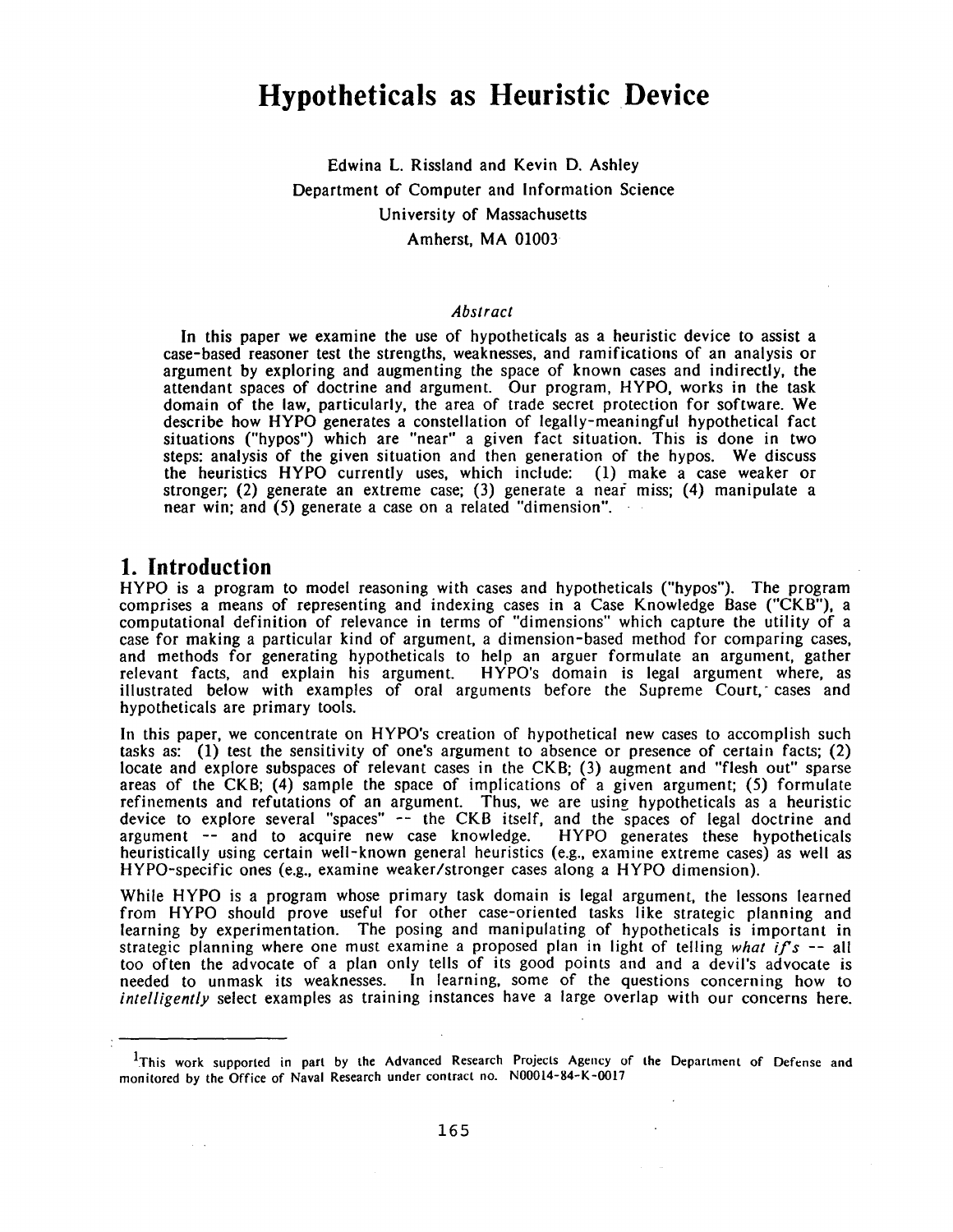# **Hypotheticals as Heuristic Device**

Edwina L. Rissland and Kevin D. Ashley Department of Computer and Information Science University of Massachusetts Amherst, MA 01003

### *Abstract*

In this paper we examine the use of hypotheticals as a heuristic device to assist a case-based reasoner test the strengths, weaknesses, and ramifications of an analysis or argument by exploring and augmenting the space of known cases and indirectly, the attendant spaces of doctrine and argument. Our program, HYPO, works in the task domain of the law, particularly, the area of trade secret protection for software. We describe how HYPO generates a constellation of legally-meaningful hypothetical fact situations ("hypos") which are "near" a given fact situation. This is done in two steps: analysis of the given situation and then generation of the hypos. We discuss the heuristics HYPO currently uses, which include: (1) make a case weaker or stronger; (2) generate an extreme case; (3) generate a near miss; (4) manipulate a near win; and (5) generate a case on a related "dimension".

# **I. Introduction**

 $\sim$   $\sim$ 

HYPO is a program to model reasoning with cases and hypotheticals ("hypos"). The program comprises a means of representing and indexing cases in a Case Knowledge Base ("CKB"), a computational definition of relevance in terms of "dimensions" which capture the utility of a case for making a particular kind of argument, a dimension-based method for comparing cases, and methods for generating hypotheticals to help an arguer formulate an argument, gather relevant facts, and explain his argument. HYPO's domain is legal argument where, as illustrated below with examples of oral arguments before the Supreme Court, cases and hypotheticals are primary tools.

In this paper, we concentrate on HYPO's creation of hypothetical new cases to accomplish such tasks as: (1) test the sensitivity of one's argument to absence or presence of certain facts; (2) locate and explore subspaces of relevant cases in the CKB; (3) augment and "flesh out" sparse areas of the CKB; (4) sample the space of implications of a given argument; (5) formulate refinements and refutations of an argument. Thus, we are using hypotheticais as a heuristic device to explore several "spaces"  $-$  the CKB itself, and the spaces of legal doctrine and argument  $-$  and to acquire new case knowledge. HYPO generates these hypotheticals argument  $-$  and to acquire new case knowledge. heuristically using certain well-known general heuristics (e.g., examine extreme cases) as well as HYPO-specific ones (e.g., examine weaker/stronger cases along a HYPO dimension).

While HYPO is a program whose primary task domain is legal argument, the lessons learned from HYPO should prove useful for other case-oriented tasks like strategic planning and learning by experimentation. The posing and manipulating of hypotheticals is important in strategic planning where one must examine a proposed plan in light of telling *what ifs --* all too often the advocate of a plan only tells of its good points and and a devil's advocate is needed to unmask its weaknesses. In learning, some of the questions concerning how to *intelligently* select examples as training instances have a large overlap with our concerns here.

<sup>&</sup>lt;sup>1</sup>This work supported in part by the Advanced Research Projects Agency of the Department of Defense and monitored by the Office of Naval Research under contract no. N00014-84-K-0017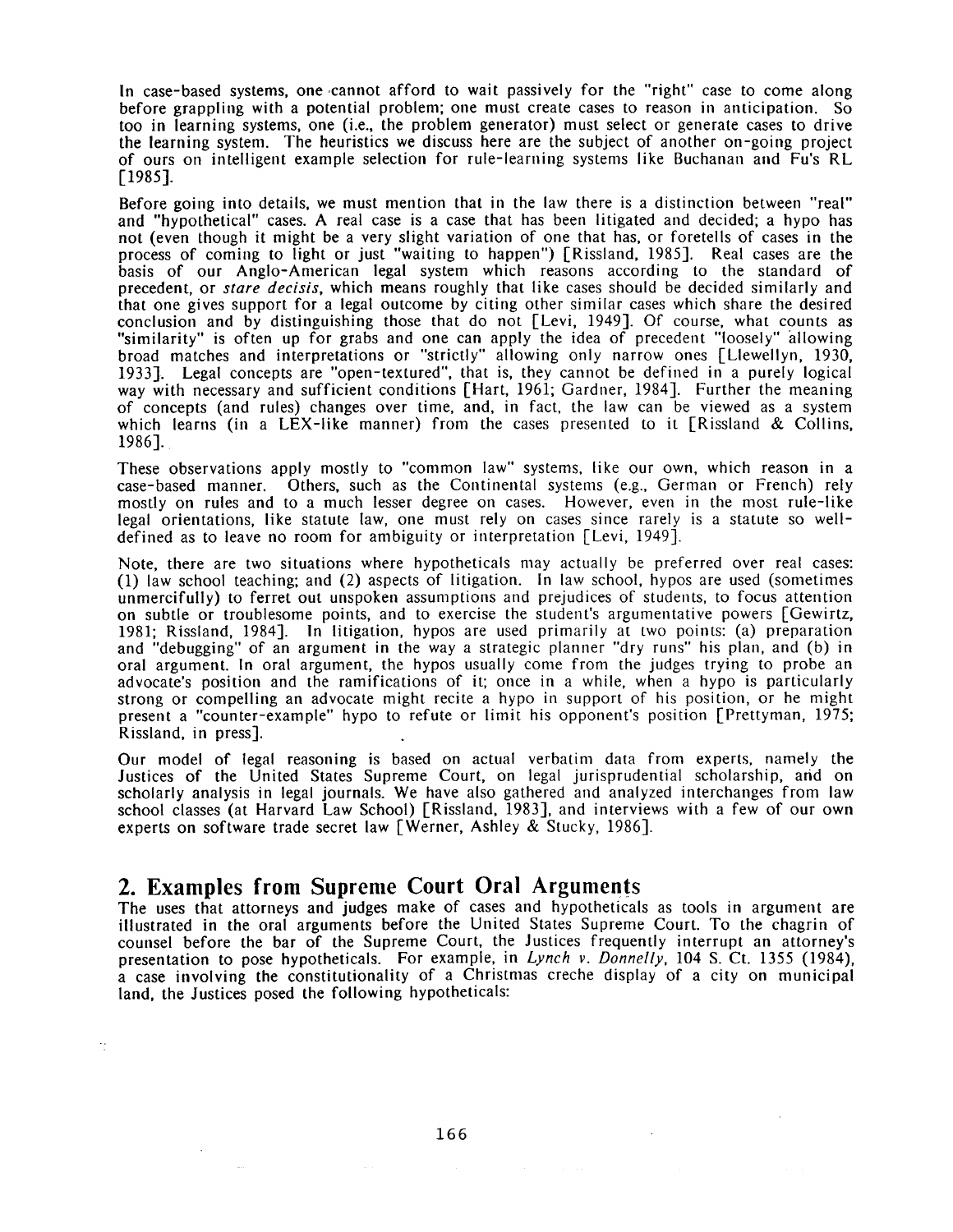In case-based systems, one cannot afford to wait passively for the "right" case to come along before grappling with a potential problem; one must create cases to reason in anticipation. So **too** in learning systems, one (i.e., the problem generator) must select or generate cases to drive the learning system. The heuristics we discuss here are the subject of another on-going project of ours on intelligent example selection for rule-learning systems like Buchanan and Fu's RL **[1985].** 

Before going into details, we must mention that in the law there is a distinction between "real" **and** "hypothetical" cases. A real case is a case that has been litigated and decided; a hypo has not (even though it might be a very slight variation of one that has, or foretells of cases in the process of coming to light or just "waiting to happen") [Rissland, 1985]. Real cases are the basis of our Anglo-American legal system which reasons according to the standard of precedent, or *stare decisis,* which means roughly that like cases should be decided similarly and that one gives support for a legal outcome by citing other similar cases which share the desired conclusion and by distinguishing those that do not [Levi, 1949]. Of course, what counts as "similarity" is often up for grabs and one can apply the idea of precedent "loosely" allowing broad matches and interpretations or "strictly" allowing only narrow ones [Llewellyn, 1930, 1933]. Legal concepts are "open-textured", that is, they cannot be defined in a purely logical **way** with necessary and sufficient conditions [Hart, 1961; Gardner, 1984]. Further the meaning of concepts (and rules) changes over time, and, in fact, the law can be viewed as a system which learns (in a LEX-like manner) from the cases presented to it [Rissland  $&$  Collins, 1986].

These observations apply mostly to "common law" systems, like our own, which reason in a case-based manner. Others, such as the Continental systems (e.g., German or French) rely mostly on rules and to a much lesser degree on cases. However, even in the most rule-like legal orientations, like statute law, one must rely on cases since rarely is a statute so welldefined as to leave no room for ambiguity or interpretation [Levi, 1949].

Note, there are two situations where hypotheticals may actually be preferred over real cases: (1) law school teaching; and (2) aspects of litigation. In law school, hypos are used (sometimes unmercifully) to ferret out unspoken assumptions and prejudices of students, to focus attention on subtle or troublesome points, and to exercise the student's argumentative powers [Gewirtz, 1981; Rissland, 1984]. In litigation, hypos are used primarily at two points: (a) preparation and "debugging" of an argument in the way a strategic planner "dry runs" his plan, and (b) in oral argument, in oral argument, the hypos usually come from the judges trying to probe an advocate's position and the ramifications of it; once in a while, when a hypo is particularly strong or compelling an advocate might recite a hypo in support of his position, or he might present a "counter-example" hypo to refute or limit his opponent's position [Prettyman, 1975; Rissland, in press].

Our model of legal reasoning is based on actual verbatim data from experts, namely the Justices of the United States Supreme Court, on legal jurisprudential scholarship, and on scholarly analysis in legal journals. We have also gathered and analyzed interchanges from law school classes (at Harvard Law School) [Rissland, 1983], and interviews with a few of our own experts on software trade secret law [Werner, Ashley & Stucky, 1986].

# **2. Examples from Supreme Court Oral Arguments**

Ħ

The uses that attorneys and judges make of cases and hypotheticals as tools in argument are illustrated in the oral arguments before the United States Supreme Court. To the chagrin of counsel before the bar of the Supreme Court, the Justices frequently interrupt an attorney's presentation to pose hypotheticals. For example, in *Lynch v. Donnelly,* 104 S. Ct. 1355 (1984), a case involving the constitutionality of a Christmas creche display of a city on municipal land, the Justices posed the following hypotheticals: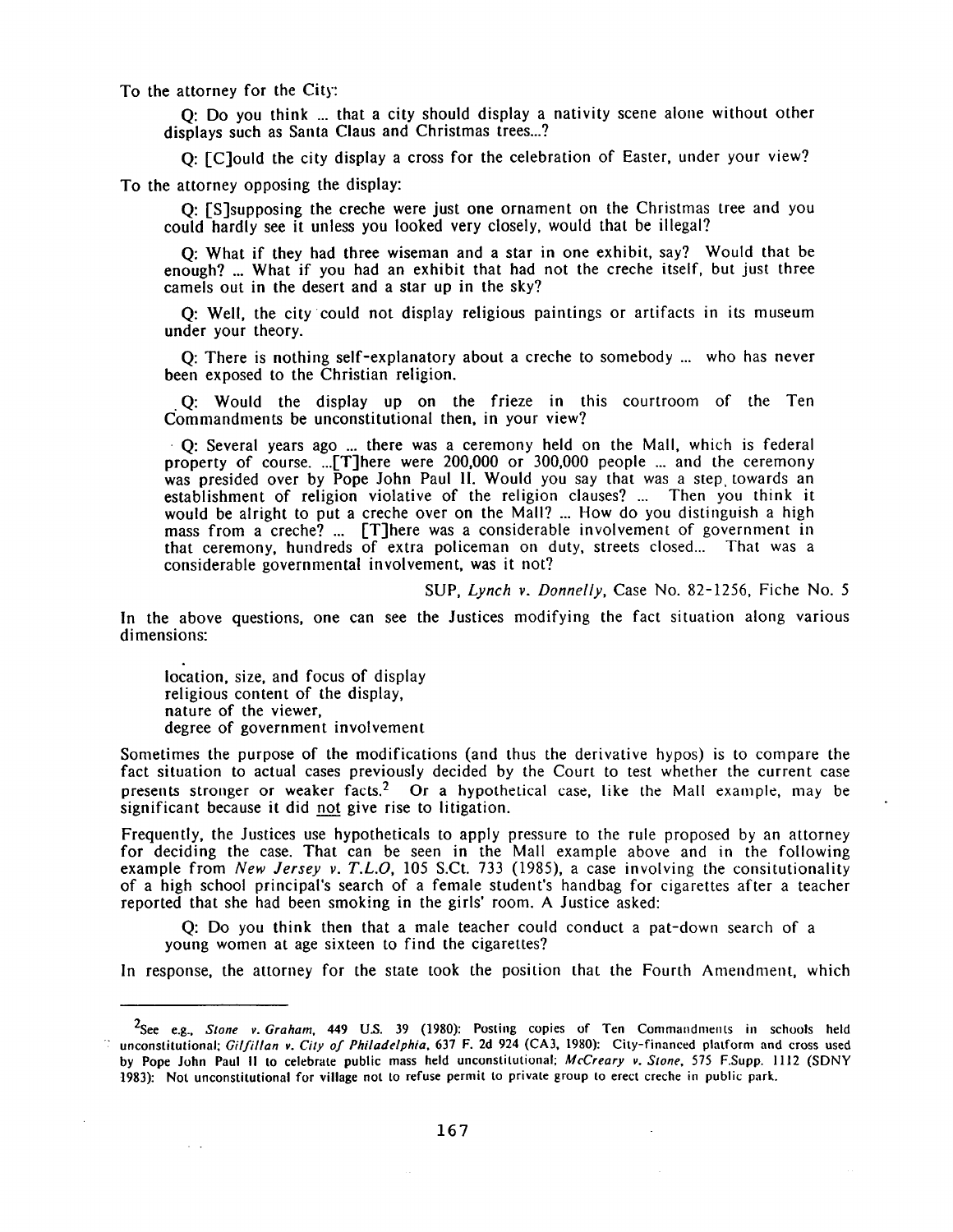To the attorney for the City:

Q: Do you think ... that a city should display a nativity scene alone without other displays such as Santa Claus and Christmas trees...?

Q: [C]ould the city display a cross for the celebration of Easter, under your view?

To the attorney opposing the display:

Q: [S]supposing the creche were just one ornament on the Christmas tree and you could hardly see it unless you looked very closely, would that be illegal?

Q: What if they had three wiseman and a star in one exhibit, say? Would that be enough? ... What if you had an exhibit that had not the creche itself, but just three camels out in the desert and a star up in the sky?

Q: Well, the city could not display religious paintings or artifacts in its museum under your theory.

Q: There is nothing self-explanatory about a creche to somebody ... who has never been exposed to the Christian religion.

.Q: Would the display up on the frieze in this courtroom of the Ten Commandments be unconstitutional then, in your view?

Q: Several years ago ... there was a ceremony held on the Mall, which is federal property of course. ... [T] here were 200,000 or 300,000 people ... and the ceremony was presided over by Pope John Paul II. Would you say that was a step towards an establishment of religion violative of the religion clauses? ... Then you think it would be alright to put a creche over on the Mall? ... How do you distinguish a high mass from a creche? ... [T]here was a considerable involvement of government in that ceremony, hundreds of extra policeman on duty, streets closed... That was a considerable governmental involvement, was it not?

SUP, *Lynch v. Donnelly,* Case No. 82-1256, Fiche No. 5

In the above questions, one can see the Justices modifying the fact situation along various dimensions:

location, size, and focus of display religious content of the display, nature of the viewer, degree of government involvement

 $\bar{z}$  ,  $\bar{z}$ 

Sometimes the purpose of the modifications (and thus the derivative hypos) is to compare the fact situation to actual cases previously decided by the Court to test whether the current case presents stronger or weaker facts.<sup>2</sup> Or a hypothetical case, like the Mall example, may be significant because it did not give rise to litigation.

Frequently, the Justices use hypotheticals to apply pressure to the rule proposed by an attorney for deciding the case. That can be seen in the Mall example above and in the following example from *New Jersey v. T.L.O,* 105 S.Ct. 733 (1985), a case involving the consitutionality of a high school principal's search of a female student's handbag for cigarettes after a teacher reported that she had been smoking in the girls' room. A Justice asked:

Q: Do you think then that a male teacher could conduct a pat-down search of a young women at age sixteen to find the cigarettes?

In response, the attorney for the state took the position that the Fourth Amendment, which

<sup>2</sup>See e.g., *Stone v. Graham,* 449 U.S. 39 (1980): Posting copies of Ten Commandments in schools held unconstitutional; *Gilfillan v. City of Philadelphia,* 637 F. 2d 924 (CA3, 1980): City-financed platform and cross used by Pope John Paul II to celebrate public mass held unconstitutional; *McCreary v. Stone,* 575 F.Supp. Ill2 (SDNY 1983): Not unconstitutional for village not to refuse permit to private group to erect creche in public park.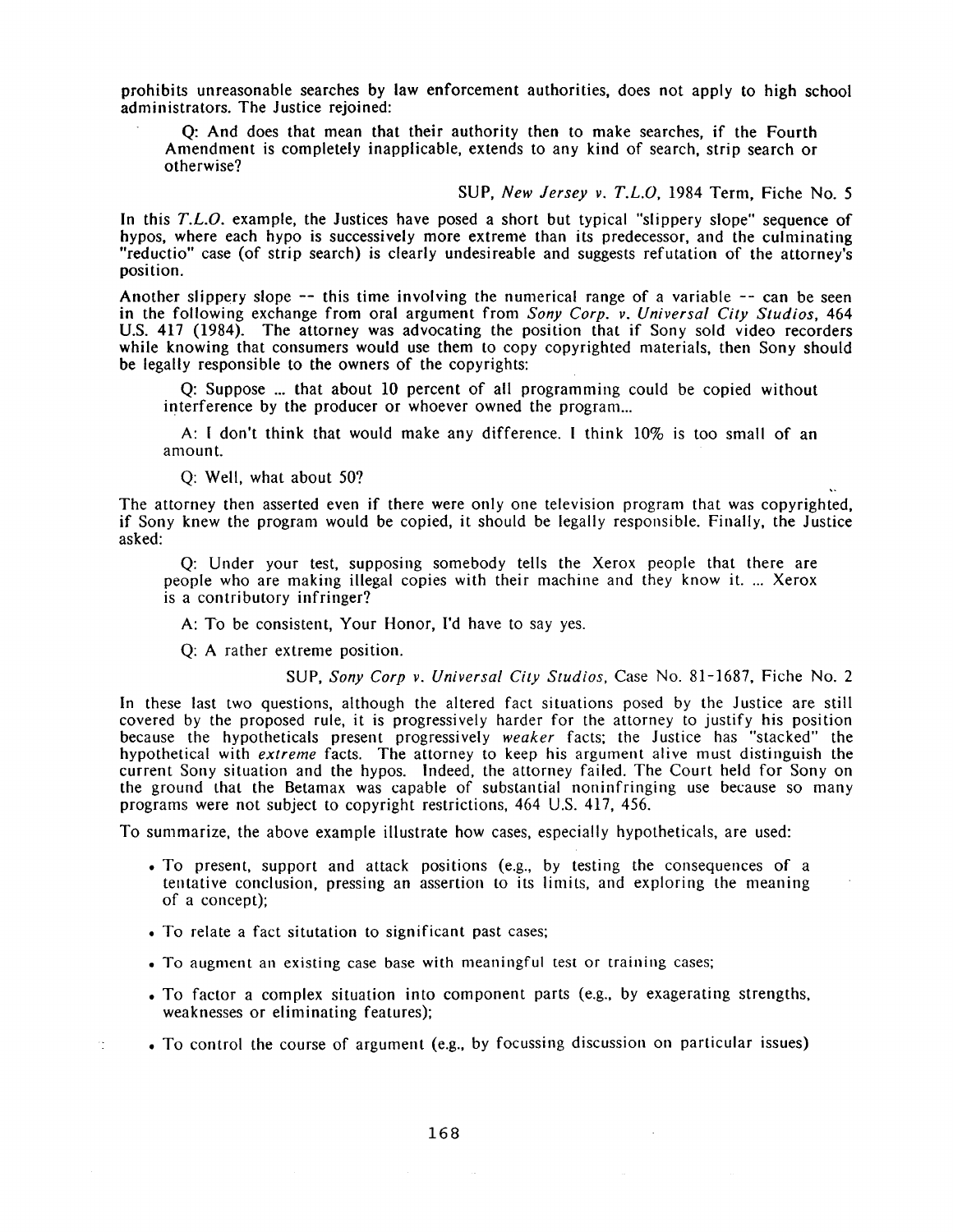prohibits unreasonable searches by law enforcement authorities, does not apply to high school administrators. The Justice rejoined:

Q: And does that mean that their authority then to make searches, if the Fourth Amendment is completely inapplicable, extends to any kind of search, strip search or otherwise?

### SUP, *New Jersey v. T.L.O,* 1984 Term, Fiche No. 5

In this *T.L.O.* example, the Justices have posed a short but typical "slippery slope" sequence of hypos, where each hypo is successively more extreme than its predecessor, and the culminating "reductio" case (of strip search) is dearly undesireable and suggests refutation of the attorney's position.

Another slippery slope -- this time involving the numerical range of a variable -- can be seen in the following exchange from oral argument from *Sony Corp. v. Universal City Studios,* 464 U.S. 417 (1984). The attorney was advocating the position that if Sony sold video recorders while knowing that consumers would use them to copy copyrighted materials, then Sony should be legally responsible to the owners of the copyrights:

Q: Suppose ... that about 10 percent of all programming could be copied without interference by the producer or whoever owned the program...

A: [ don't think that would make any difference. ! think 10% is too small of an amount.

Q: Well, what about 50?

The attorney then asserted even if there were only one television program that was copyrighted, if Sony knew the program would be copied, it should be legally responsible. Finally, the Justice asked:

Q: Under your test, supposing somebody tells the Xerox people that there are people who are making illegal copies with their machine and they know it .... Xerox is a contributory infringer?

A: To be consistent, Your Honor, I'd have to say yes.

Q: A rather extreme position.

÷.

SUP, *Sony Corp v. Universal City Studios,* Case No. 81-1687, Fiche No. 2

In these last two questions, although the altered fact situations posed by the Justice are still covered by the proposed rule, it is progressively harder for the attorney to justify his position because the hypotheticals present progressively *weaker* facts; the Justice has "stacked" the hypothetical with *extreme* facts. The attorney to keep his argument alive must distinguish the current Sony situation and the hypos, indeed, the attorney failed. The Court held for Sony on the ground that the Betamax was capable of substantial noninfringing use because so many programs were not subject to copyright restrictions, 464 U.S. 417, 456.

To summarize, the above example illustrate how cases, especially hypotheticals, are used:

- To present, support and attack positions (e.g., by testing the consequences of a tentative conclusion, pressing an assertion to its limits, and exploring the meaning of a concept);
- To relate a fact situtation to significant past cases;
- To augment an existing case base with meaningful test or training cases;
- To factor a complex situation into component parts (e.g., by exagerating strengths, weaknesses or eliminating features);
- To control the course of argument (e.g., by focussing discussion on particular issues)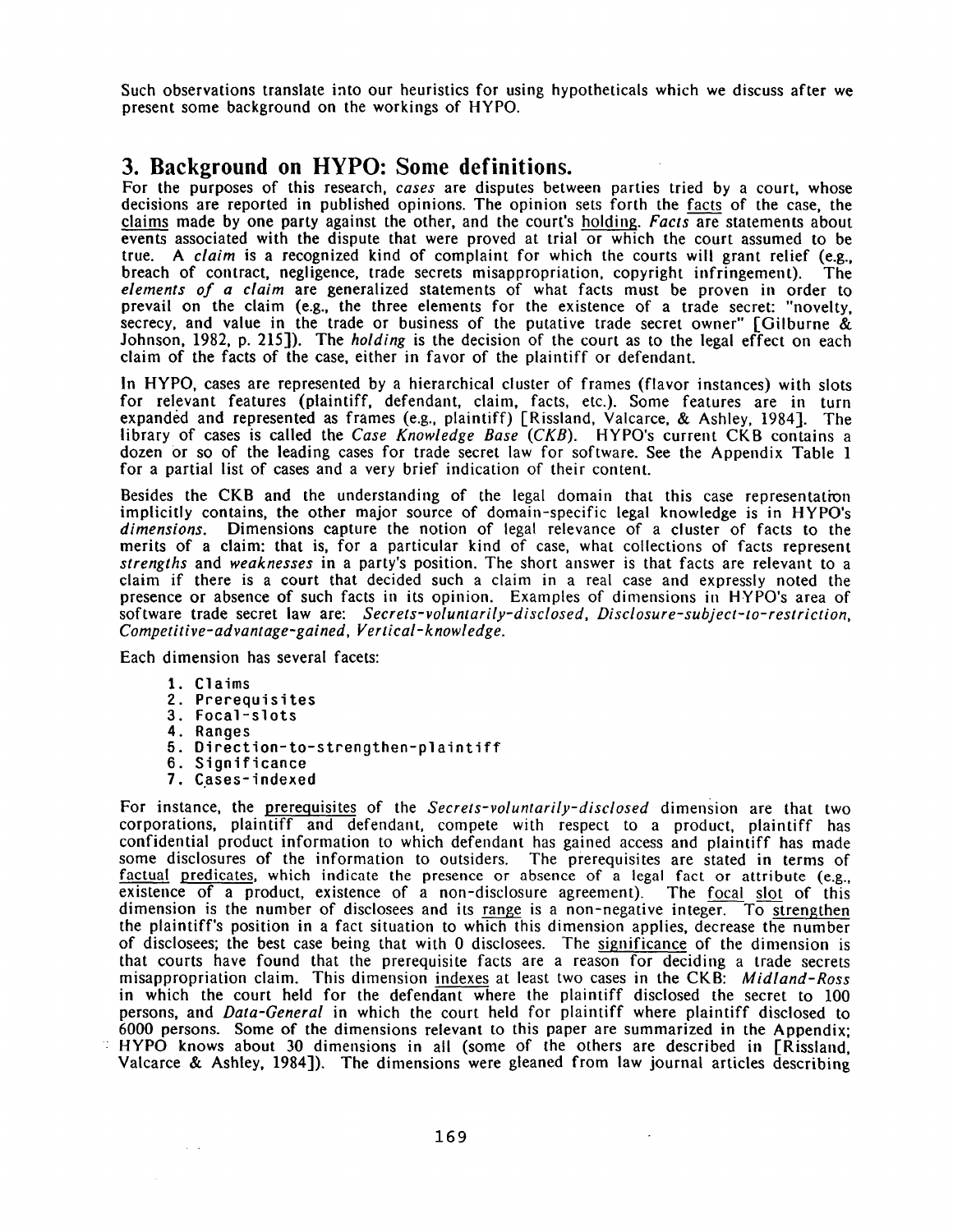Such observations translate into our heuristics for using hypotheticals which we discuss after we present some background on the workings of HYPO.

# **3. Background on HYPO: Some definitions.**

For the purposes of this research, *cases* are disputes between parties tried by a court, whose decisions are reported in published opinions. The opinion sets forth the facts of the case, the claims made by one party against the other, and the court's holding. *Facts* are statements about events associated with the dispute that were proved at trial or which the court assumed to be true. A *claim* is a recognized kind of complaint for which the courts will grant relief (e.g., breach of contract, negligence, trade secrets misappropriation, copyright infringement). The *elements of a claim* are generalized statements of what facts must be proven in order to prevail on the claim (e.g., the three elements for the existence of a trade secret: "novelty, secrecy, and value in the trade or business of the putative trade secret owner" [Gilburne & Johnson, 1982, p. 215]). The *holding* is the decision of the court as to the legal effect on each claim of the facts of the case, either in favor of the plaintiff or defendant.

In HYPO, cases are represented by a hierarchical cluster of frames (flavor instances) with slots for relevant features (plaintiff, defendant, claim, facts, etc.). Some features are in turn expanded and represented as frames (e.g., plaintiff) [Rissland, Valcarce, & Ashley, 1984]. The library of cases is called the *Case Knowledge Base (CKB).* HYPO's current CKB contains a dozen or so of the leading cases for trade secret law for software. See the Appendix Table 1 for a partial list of cases and a very brief indication of their content.

Besides the CKB and the understanding of the legal domain that this case representation implicitly contains, the other major source of domain-specific legal knowledge is in HYPO's *dimensions.* Dimensions capture the notion of legal relevance of a cluster of facts to the merits of a claim: that is, for a particular kind of case, what collections of facts represent *strengths* and *weaknesses* in a party's position. The short answer is that facts are relevant to a claim if there is a court that decided such a claim in a real case and expressly noted the presence or absence of such facts in its opinion. Examples of dimensions in HYPO's area of software trade secret law are: *Secrets-voluntarily-disclosed, Disclosure-subject-to-restriction, Competitive-advantage-gained, Vertical-knowledge.* 

Each dimension has several facets:

- **1. C1** aims
- 2. Prerequisites
- 3. Focal-slots
- **4.** Ranges

 $\lambda=1/2$ 

- 5. Direction-to-strengthen-plaintiff
- 6. Significance
- 7. Cases-indexed

For instance, the prerequisites of the *Secrets-voluntarily-disclosed* dimension are that two corporations, plaintiff and defendant, compete with respect to a product, plaintiff has confidential product information to which defendant has gained access and plaintiff has made some disclosures of the information to outsiders. The prerequisites are stated in terms of factual predicates, which indicate the presence or absence of a legal fact or attribute (e.g., existence of a product, existence of a non-disclosure agreement). The focal slot of this existence of a product, existence of a non-disclosure agreement). dimension is the number of disclosees and its range is a non-negative integer. To strengthen the plaintiff's position in a fact situation to which this dimension applies, decrease the number of disclosees; the best case being that with 0 disclosees. The significance of the dimension is that courts have found that the prerequisite facts are a reason for deciding a trade secrets misappropriation claim. This dimension indexes at least two cases in the CKB: *Midland-Ross*  in which the court held for the defendant where the plaintiff disclosed the secret to 100 persons, and *Data-General* in which the court held for plaintiff where plaintiff disclosed to 6000 persons. Some of the dimensions relevant to this paper are summarized in the Appendix; HYPO knows about 30 dimensions in all (some of the others are described in [Rissland, Valcarce & Ashley, 1984]). The dimensions were gleaned from law journal articles describing

 $\mathcal{L}$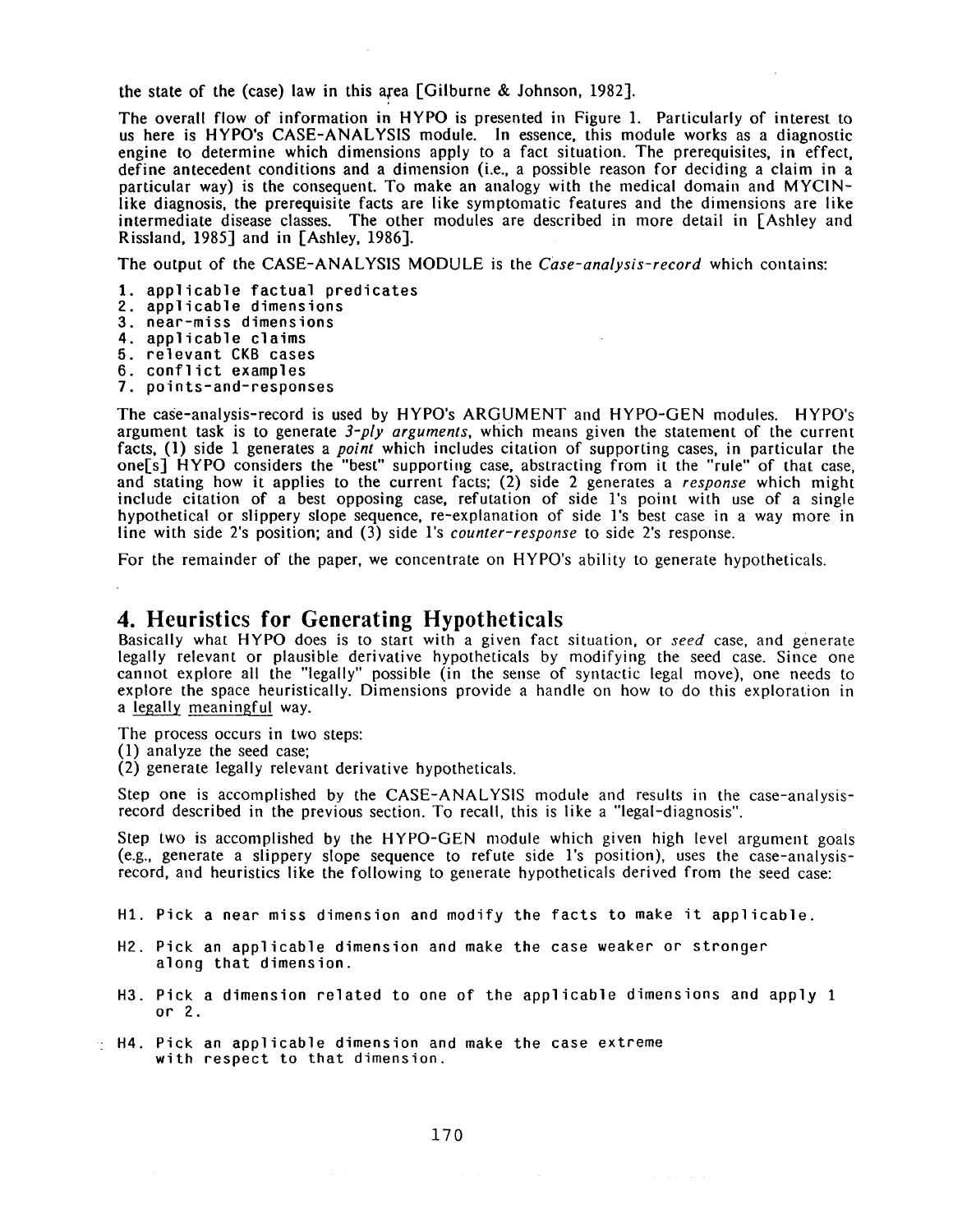the state of the (case) law in this area  $\overline{G}$ ilburne & Johnson, 1982].

The overall flow of information in HYPO is presented in Figure 1. Particularly of interest to us here is HYPO's CASE-ANALYSIS module. In essence, this module works as a diagnostic engine to determine which dimensions apply to a fact situation. The prerequisites, in effect, define antecedent conditions and a dimension (i.e., a possible reason for deciding a claim in a particular way) is the consequent. To make an analogy with the medical domain and MYCINlike diagnosis, the prerequisite facts are like symptomatic features and the dimensions are like intermediate disease classes. The other modules are described in more detail in [Ashley and Rissland, 1985] and in [Ashley, 1986].

The output of the CASE-ANALYSIS MODULE is the *Case-analysis-record* which contains:

- I. applicable factual predicates
- 2. applicable dimensions
- 3. near-miss dimensions
- 4. applicable claims
- 5. relevant CKB cases
- 6. conflict examples
- 7. points-and-responses

The case-analysis-record is used by HYPO's ARGUMENT and HYPO-GEN modules. HYPO's argument task is to generate *3-ply arguments,* which means given the statement of the current facts, (1) side 1 generates a *point* which includes citation of supporting cases, in particular the one<sup>[s]</sup> HYPO considers the "best" supporting case, abstracting from it the "rule" of that case, and stating how it applies to the current facts; (2) side 2 generates a *response* which might include citation of a best opposing case, refutation of side l's point with use of a single hypothetical or slippery slope sequence, re-explanation of side l's best case in a way more in line with side 2's position; and (3) side l's *counter-response* to side 2's response.

For the remainder of the paper, we concentrate on HYPO's ability to generate hypotheticals.

# **4. Heuristics for Generating Hypotheticals**

Basically what HYPO does is to start with a given fact situation, or *seed* case, and generate legally relevant or plausible derivative hypotheticals by modifying the seed case. Since one cannot explore all the "legally" possible (in the sense of syntactic legal move), one needs to explore the space heuristically. Dimensions provide a handle on how to do this exploration in a legally meaningful way.

The process occurs in two steps:

(1) analyze the seed case;

(2) generate legally relevant derivative hypotheticals.

Step one is accomplished by the CASE-ANALYSIS module and results in the case-analysisrecord described in the previous section. To recall, this is like a "legal-diagnosis".

Step two is accomplished by the HYPO-GEN module which given high level argument goals (e.g., generate a slippery slope sequence to refute side l's position), uses the case-analysisrecord, and heuristics like the following to generate hypotheticals derived from the seed case:

- H1. Pick a near miss dimension and modify the facts to make it applicable.
- H2. Pick an applicable dimension and make the case weaker or stronger along that dimension.
- H3. Pick a dimension related to one of the applicable dimensions and apply 1 or 2.
- H4. Pick an applicable dimension and make the case extreme with respect to that dimension.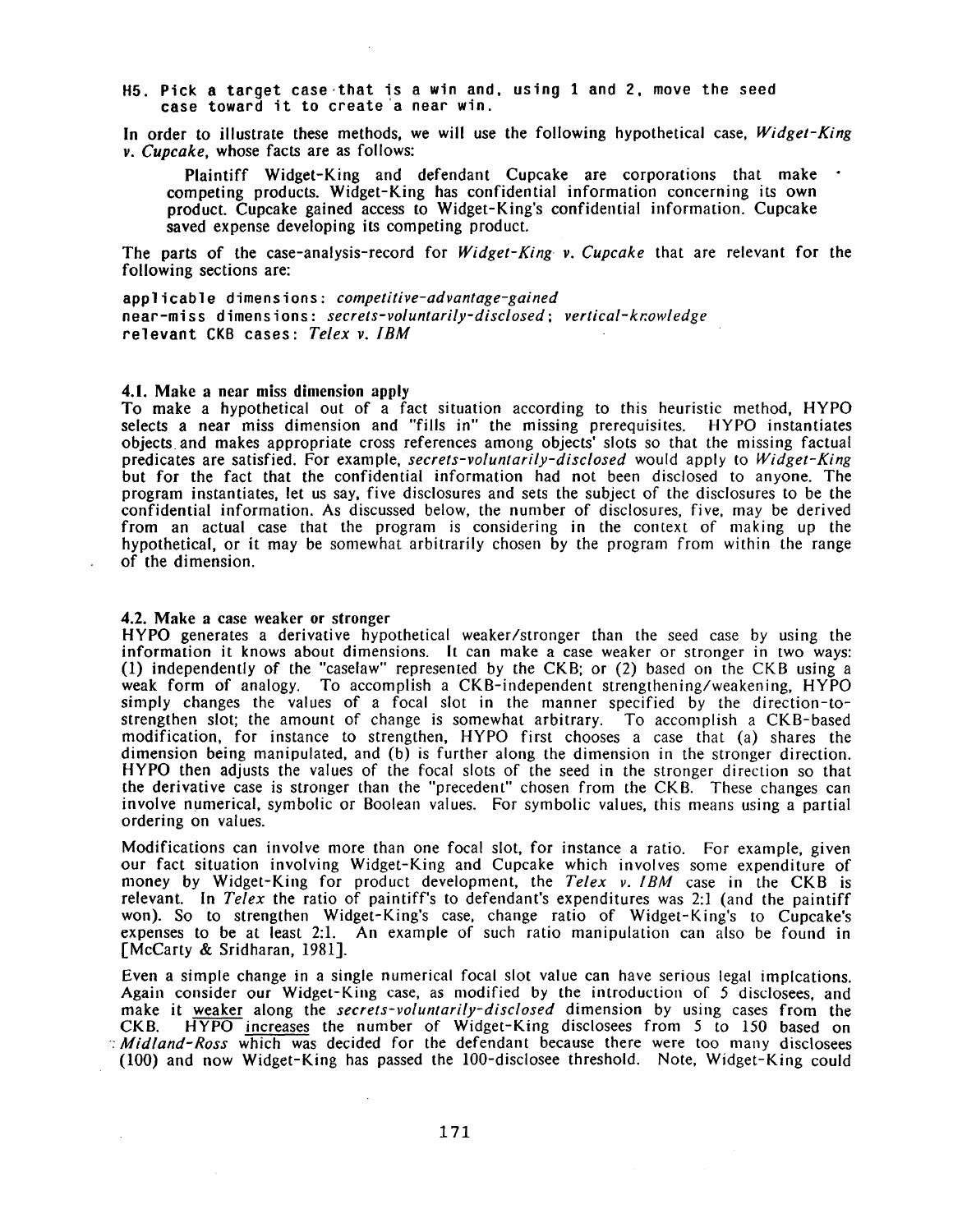**H5. Pick a target case ,that is a win and, using 1 and 2, move the** *seed*  **case toward it to create a near win.** 

In order to illustrate these methods, we will *use* **the** following hypothetical case, *Widget-King v. Cupcake,* whose facts are as follows:

Plaintiff Widget-King and defendant Cupcake are corporations that make competing products. Widget-King has confidential information concerning its own **product.** Cupcake gained access to Widget-King's confidential information. Cupcake **saved** expense developing its competing product.

**The** parts of the case-analysis-record for *Widget-King v. Cupcake* that are relevant for **the**  following sections are:

app] icable dimensions: *competitive-advantage-gained*  near-miss dimensions : *secrets-voluntarily-disclosed; vertical-kr.owledge*  relevant CKB cases: *Telex v. IBM* 

#### 4.1. Make a near miss dimension **apply**

To make a hypothetical out of a fact situation according to this heuristic method, HYPO selects a near miss dimension and "fills in" the missing prerequisites. HYPO instantiates objects and makes appropriate cross references among objects' slots so that the missing factual predicates are satisfied. For example, *secrets-voluntarily-disclosed* would apply to *Widget-King*  but for the fact that the confidential information had not been disclosed to anyone. The program instantiates, let us say, five disclosures and sets the subject of the disclosures to be the confidential information. As discussed below, the number of disclosures, five, may be derived from an actual case that the program is considering in the context of making up the hypothetical, or it may be somewhat arbitrarily chosen by the program from within the range of the dimension.

### 4.2. Make a **case weaker or** stronger

HYPO generates a derivative hypothetical weaker/stronger than the seed case by using the information it knows about dimensions. It can make a case weaker or stronger in two ways: (1) independently of the "caselaw" represented by the CKB; or (2) based on the CKB using a weak form of analogy. To accomplish a CKB-independent strengthening/weakening, HYPO simply changes the values of a focal slot in the manner specified by the direction-tostrengthen slot; the amount of change is somewhat arbitrary. To accomplish a CKB-based modification, for instance to strengthen, HYPO first chooses a case that (a) shares the dimension being manipulated, and (b) is further along the dimension in the stronger direction. HYPO then adjusts the values of the focal slots of the seed in the stronger direction so that **the** derivative case is stronger than the "precedent" chosen from the CKB. These changes can involve numerical, symbolic or Boolean values. For symbolic values, this means using a partial ordering on values.

Modifications can involve more than one focal slot, for instance a ratio. For example, given our fact situation involving Widget-King and Cupcake which involves some expenditure of money by Widget-King for product development, the *Telex v. IBM* case in the CKB is relevant. In *Telex* the ratio of paintiff's to defendant's expenditures was 2:1 (and the paintiff won). So to strengthen Widget-King's case, change ratio of Widget-King's to Cupcake's expenses to be at least  $2:1$ . An example of such ratio manipulation can also be found in [McCarty & Sridharan, 1981].

Even a simple change in a single numerical focal slot value can have serious legal impications. Again consider our Widget-King case, as modified by the introduction of 5 disclosees, and make it weaker along the *secrets-voluntarily-disclosed* dimension by using cases from the CKB. HYPO increases the number of Widget-King disclosees from 5 to 150 based on *:Midland-Ross* which was decided for the defendant because there were too many disclosees (100) and now Widget-King has passed the 100-disciosee threshold. Note, Widget-King could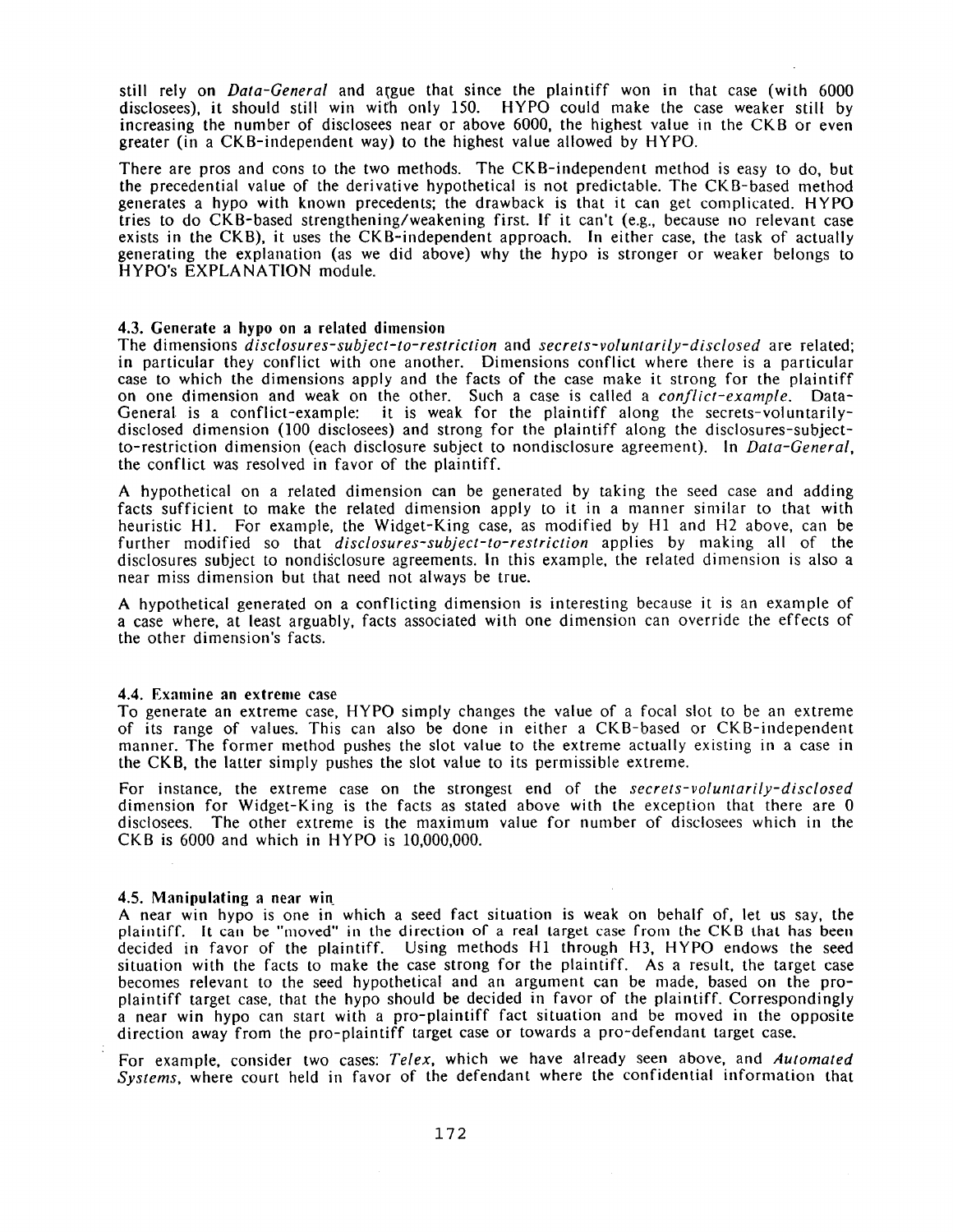still rely on *Data-General* and argue that since the plaintiff won in that case (with 6000 disclosees), it should still win with only 150. HYPO could make the case weaker still by increasing the number of disclosees near or above 6000, the highest value in the CKB or even greater (in **a** CKB-independent way) to the highest value allowed by HYPO.

There are pros and cons to the two methods. The CKB-independent method is easy to do, but **the** precedential value of the derivative hypothetical is not predictable. The CKB-based method generates a hypo with known precedents; the drawback is that it can get complicated.  $HYPO$ tries to do CKB-based strengthening/weakening first, if it can't (e.g., because no relevant case exists in the CKB), it uses the CKB-independent approach. In either case, the task of actually generating the explanation (as we did above) why the hypo is stronger or weaker belongs to HYPO's EXPLANATION module.

### **4.3. Generate a hypo on a related** dimension

The dimensions *disclosures-subject-to-restriction* and *secrets-voluntarily-disclosed* are related; in particular they conflict with one another. Dimensions conflict where there is a particular **case** to which the dimensions apply and the facts of the case make it strong for the plaintiff on one dimension and weak on the other. Such a case is called a *conflict-example.* Data-General is a conflict-example: it is weak for the plaintiff along the secrets-voluntarilydisclosed dimension (100 disclosees) and strong for the plaintiff along the disclosures-subjectto-restriction dimension (each disclosure subject to nondisclosure agreement). In *Data-General,*  the conflict was resolved in favor of the plaintiff.

A hypothetical on a related dimension can be generated by taking the seed case and adding facts sufficient to make the related dimension apply to it in a manner similar to that with heuristic H1. For example, the Widget-King case, as modified by H1 and H2 above, can be further modified so that *disclosures-subject-to-restriction* applies by making all of the disclosures subject to nondisclosure agreements. In this example, the related dimension is also a near miss dimension but that need not always be true.

A hypothetical generated on a conflicting dimension is interesting because it is an example of a case where, at least arguably, facts associated with one dimension can override the effects of the other dimension's facts.

### 4.4. Examine an **extreme case**

To generate an extreme case, HYPO simply changes the value of a focal slot to be an extreme of its range of values. This can also be done in either a CKB-based or CKB-independent manner. The former method pushes the slot value to the extreme actually existing in a case in the CKB, the latter simply pushes the slot value to its permissible extreme.

For instance, the extreme case on the strongest end of the *secrets-voluntarily-disclosed*  dimension for Widget-King is the facts as stated above with the exception that there are 0 disclosees. The other extreme is the maximum value for number of disclosees which in the CKB is 6000 and which in HYPO is 10,000,000.

### **4.5. Manipulating a near wing**

A near win hypo is one in which a seed fact situation is weak on behalf of, let us say, the plaintiff. It can be "moved" in the direction of a real target case from the CKB that has been decided in favor of the plaintiff. Using methods H1 through H3, HYPO endows the seed situation with the facts to make the case strong for the plaintiff. As a result, the target case becomes relevant to the seed hypothetical and an argument can be made, based on the proplaintiff target case, that the hypo should be decided in favor of the plaintiff. Correspondingly a near win hypo can start with a pro-plaintiff fact situation and be moved in the opposite direction away from the pro-plaintiff target case or towards a pro-defendant target case.

For example, consider two cases: *Telex,* which we have already seen above, and *Automated Systems,* where court held in favor of the defendant where the confidential information that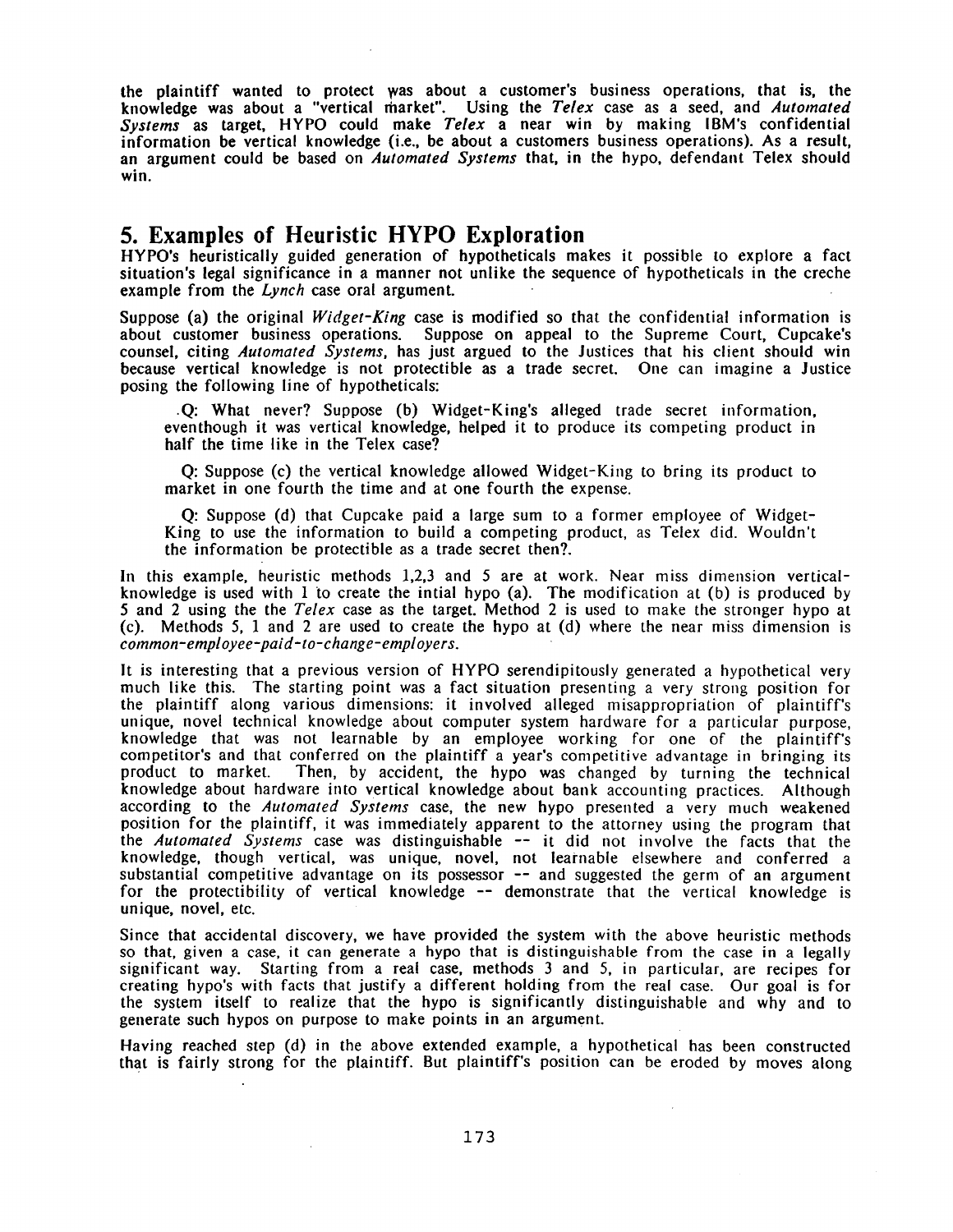**the** plaintiff wanted to protect was about a customer's business operations, that is, the **knowledge was** about a "vertical rnarket". Using the *Telex* case as a seed, and *Automated Systems* as target, HYPO could make *Telex* a near win by making IBM's confidential information be vertical knowledge (i.e., be about a customers business operations). As a result, an argument could be based on *Automated Systems* that, in the hypo, defendant Telex should win.

# **5. Examples of Heuristic HYPO Exploration**

HYPO's heuristically guided generation of hypotheticals makes it possible to explore a fact situation's legal significance in a manner not unlike the sequence of hypotheticals in the creche example from the *Lynch* case oral argument.

Suppose (a) the original *Widget-King* case is modified so that the confidential information is about customer business operations. Suppose on appeal to the Supreme Court, Cupcake's counsel, citing *Automated Systems,* has just argued to the Justices that his client should win because vertical knowledge is not protectible as a trade secret. One can imagine a Justice posing the following line of hypotheticals:

.Q: What never? Suppose (b) Widget-King's alleged trade secret information, eventhough it was vertical knowledge, helped it to produce its competing product in half the time like in the Telex case?

Q: Suppose (c) the vertical knowledge allowed Widget-King to bring its product to market in one fourth the time and at one fourth the expense.

Q: Suppose (d) that Cupcake paid a large sum to a former employee of Widget-King to use the information to build a competing product, as Telex did. Wouldn't the information be protectible as a trade secret then?.

In this example, heuristic methods 1,2,3 and 5 are at work. Near miss dimension verticalknowledge is used with 1 to create the intial hypo (a). The modification at (b) is produced by 5 and 2 using the the *Telex* case as the target. Method 2 is used to make the stronger hypo at (c). Methods 5, 1 and 2 are used to create the hypo at (d) where the near miss dimension is *common-employee-paid-to-change-employers.* 

It is interesting that a previous version of HYPO serendipitously generated a hypothetical very much like this. The starting point was a fact situation presenting a very strong position for the plaintiff along various dimensions: it involved alleged misappropriation of plaintiff's unique, novel technical knowledge about computer system hardware for a particular purpose, knowledge that was not learnable by an employee working for one of the plaintiff's competitor's and that conferred on the plaintiff a year's competitive advantage in bringing its product to market. Then, by accident, the hypo was changed by turning the technical knowledge about hardware into vertical knowledge about bank accounting practices. Although according to the *Automated Systems* case, the new hypo presented a very much weakened position for the plaintiff, it was immediately apparent to the attorney using the program that the *Automated Systems* case was distinguishable -- it did not involve the facts that the knowledge, though vertical, was unique, novel, not learnable elsewhere and conferred a substantial competitive advantage on its possessor -- and suggested the germ of an argument for the protectibility of vertical knowledge  $-$  demonstrate that the vertical knowledge is unique, novel, etc.

Since that accidental discovery, we have provided the system with the above heuristic methods so that, given a case, it can generate a hypo that is distinguishable from the case in a legally significant way. Starting from a real case, methods 3 and 5, in particular, are recipes for creating hypo's with facts that justify a different holding from the real case. Our goal is for the system itself to realize that the hypo is significantly distinguishable and why and to generate such hypos on purpose to make points in an argument.

Having reached step (d) in the above extended example, a hypothetical has been constructed that is fairly strong for the plaintiff. But plaintiff's position can be eroded by moves along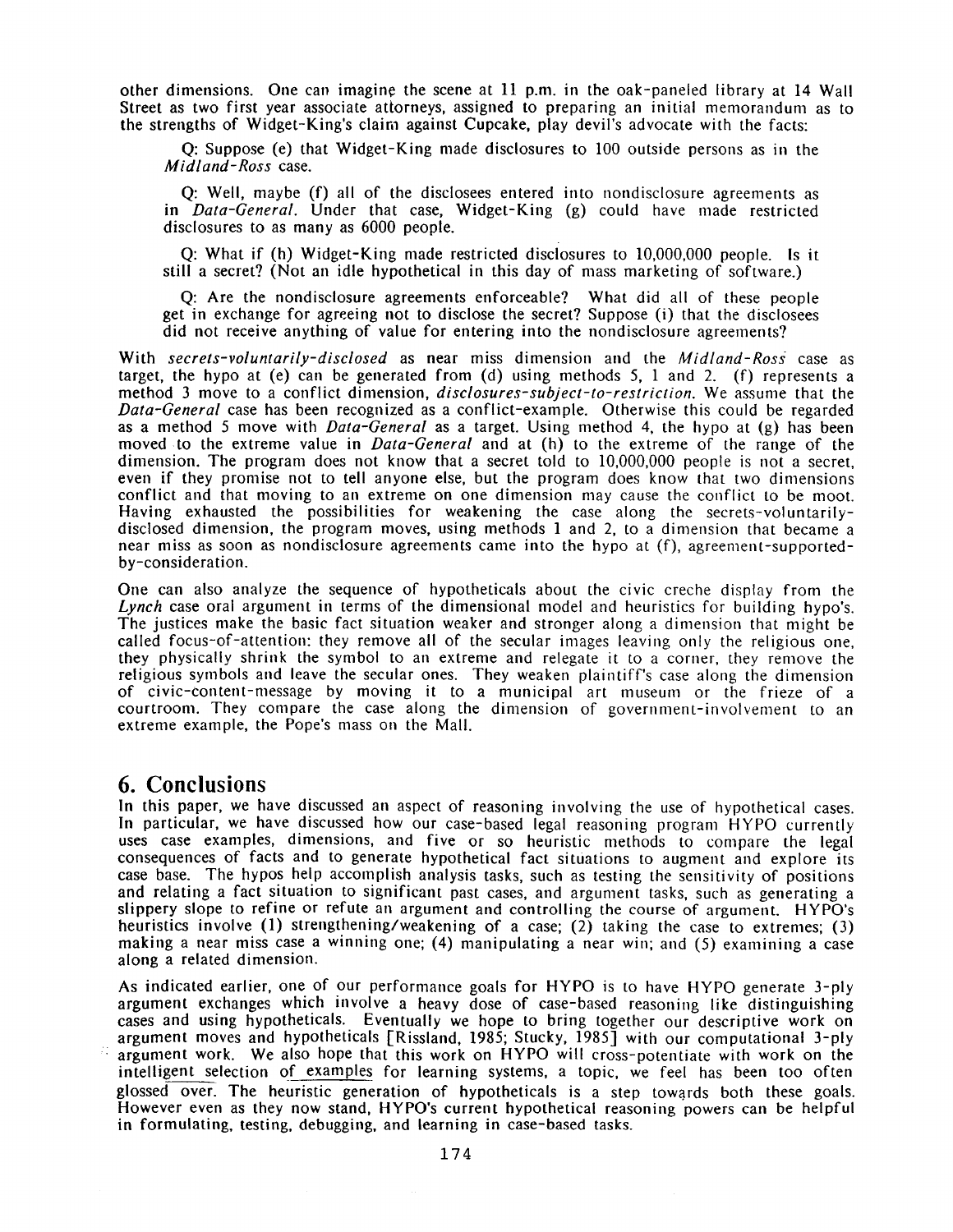other dimensions. One can imagine the scene at 11 p.m. in the oak-paneled library at 14 Wall Street as two first year associate attorneys, assigned to preparing an initial memorandum as to the strengths of Widget-King's claim against Cupcake, play devil's advocate with the facts:

Q: Suppose (e) that Widget-King made disclosures to 100 outside persons as in the *Midland-Ross* case.

Q: Well, maybe (f) all of the disclosees entered into nondisclosure agreements as in *Data-General.* Under that case, Widget-King (g) could have made restricted disclosures to as many as 6000 people.

Q: What if (h) Widget-King made restricted disclosures to 10,000,000 people. Is it still a secret? (Not an idle hypothetical in this day of mass marketing of software.)

Q: Are the nondisclosure agreements enforceable? What did all of these people get in exchange for agreeing not to disclose the secret? Suppose (i) that the disclosees did not receive anything of value for entering into the nondisclosure agreements?

With *secrets-voluntarily-disclosed* as near miss dimension and the *Midland-Ross* case as target, the hypo at  $(e)$  can be generated from  $(d)$  using methods 5, 1 and 2.  $(f)$  represents a method 3 move to a conflict dimension, *disclosures-subject-to-restriction.* We assume that the *Data-General* case has been recognized as a conflict-example. Otherwise this could be regarded as a method 5 move with *Data-General* as a target. Using method 4, the hypo at (g) has been moved to the extreme value in *Data-General* and at (h) to the extreme of the range of the dimension. The program does not know that a secret told to 10,000,000 people is not a secret, even if they promise not to tell anyone else, but the program does know that two dimensions conflict and that moving to an extreme on one dimension may cause the conflict to be moot. Having exhausted the possibilities for weakening the case along the secrets-voluntarilydisclosed dimension, the program moves, using methods 1 and 2, to a dimension that became a near miss as soon as nondisclosure agreements came into the hypo at (f), agreement-supportedby-consideration.

One can also analyze the sequence of hypotheticals about the civic creche display from the *Lynch* case oral argument in terms of the dimensional model and heuristics for building hypo's. The justices make the basic fact situation weaker and stronger along a dimension that might be called focus-of-attention: they remove all of the secular images leaving only the religious one, they physically shrink the symbol to an extreme and relegate it to a corner, they remove the religious symbols and leave the secular ones. They weaken plaintiff's case along the dimension of civic-content-message by moving it to a municipal art museum or the frieze of a courtroom. They compare the case along the dimension of government-involvement to an extreme example, the Pope's mass on the Mall.

# **6. Conclusions**

In this paper, we have discussed an aspect of reasoning involving the use of hypothetical cases. In particular, we have discussed how our case-based legal reasoning program HYPO currently uses case examples, dimensions, and five or so heuristic methods to compare the legal consequences of facts and to generate hypothetical fact situations to augment and explore its case base. The hypos help accomplish analysis tasks, such as testing the sensitivity of positions and relating a fact situation to significant past cases, and argument tasks, such as generating a slippery slope to refine or refute an argument and controlling the course of argument. HYPO's heuristics involve (1) strengthening/weakening of a case; (2) taking the case to extremes: **(3)**  making a near miss case a winning one; (4) manipulating a near win; and (5) examining a case along a related dimension.

As indicated earlier, one of our performance goals for HYPO is to have HYPO generate 3-ply argument exchanges which involve a heavy dose of case-based reasoning like distinguishing cases and using hypotheticals. Eventually we hope to bring together our descriptive work on argument moves and hypotheticals [Rissland, 1985; Stucky, 1985] with our computational 3-ply argument work. We also hope that this work on HYPO will cross-potentiate with work on the intelligent selection of examples for learning systems, a topic, we feel has been too often glossed over. The heuristic generation of hypotheticals is a step towards both these goals. However even as they now stand, HYPO's current hypothetical reasoning powers can be helpful in formulating, testing, debugging, and learning in case-based tasks.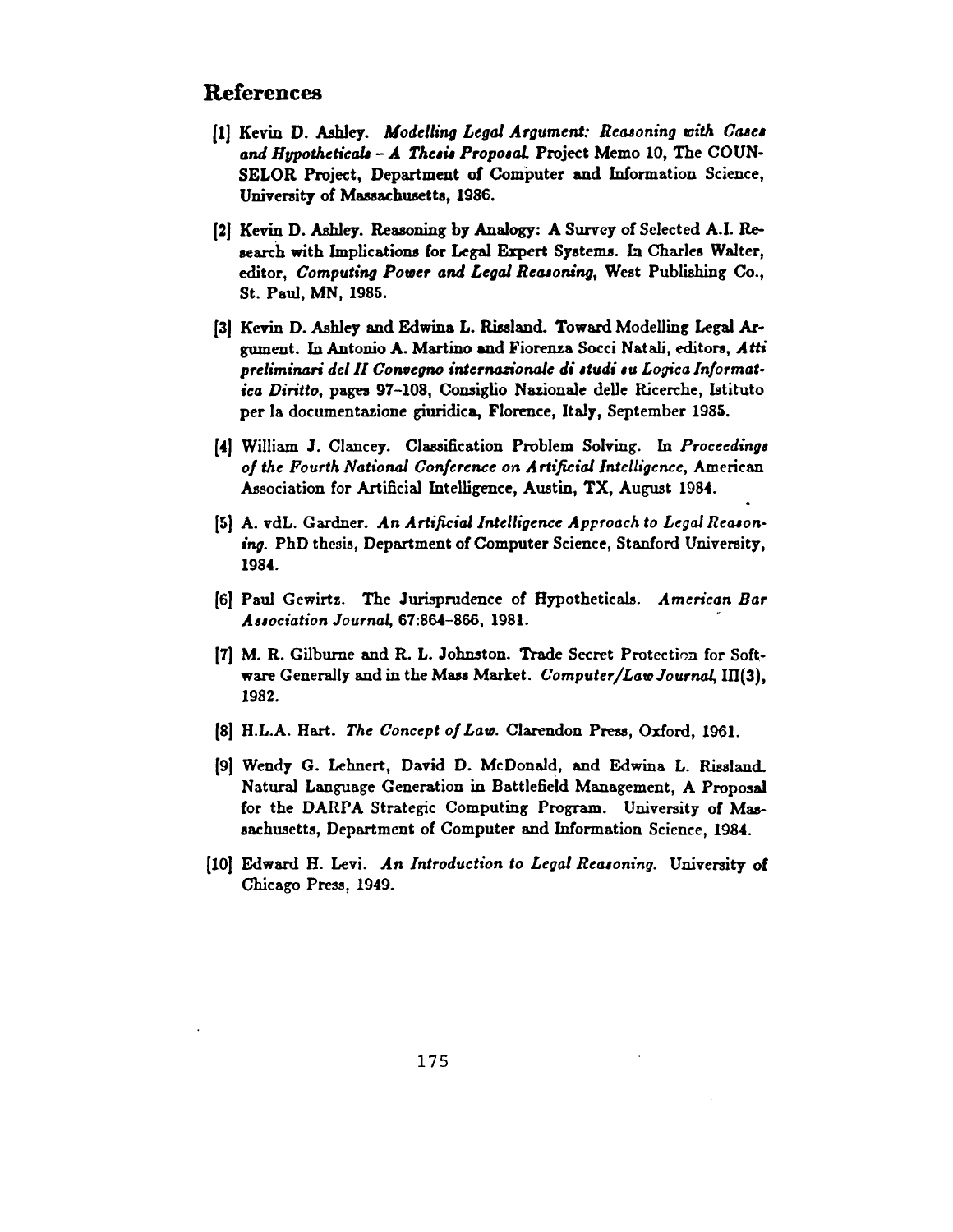# **References**

- [1] *Kevin D. Ashley. Modelling Legal Argument: Reasoning with Casein*  and Hypotheticals - A Thesis Proposal. Project Memo 10, The COUN-SELOR Project, Department of Computer and Information Science, **University of Massachusetts, 1986.**
- [2] Kevin D. Ashley. Reasoning by Analogy: A Survey of Selected A.I. Research with Implications for Legal Expert Systems. La Charles Walter, editor, *Computing Power and Legal Reasoning,* West Publishing Co., St. Paul, MN, **1985.**
- [3] Kevin D. Ashley and Edwina L. Rissland. Toward ModeLling Legal Argument. In Antonio A. Martino and Fiorenza Soeci Natali, editors, Atti *preliminari dei H Convegno internazionale di atudi #u Logica lnformatica Diritto,* pages 97-108, Consiglio Nazionale deUe Ricerche, Istituto per la documentazione giuridica, Florence, Italy, September 1985.
- [4] William J. Clancey. Classification Problem Solving. *In Proceedings of the Fourth National Conference on Artificial Intelligence,* American Association for Artificial Intelligence, Austin, TX, August 1984.
- [5] A. vdL. Gardner. *An Artificial Intelligence Approach to Legal Reason*ing. PhD thesis, Department of Computer Science, Stanford University, 1984.
- [6] Paul Gewirtz. The Jurisprudence of Hypotheticah. *American Bar A88ociation Journa~* 67:864-866, 1981.
- **17] M. R. Gilburne and R. L. Johnston. Trade Secret Protection for Soft**ware Generally and in the Mass Market. *Computer/LawJournal~* III(3), 1982.
- **[s]**  H.L.A. Hart. *The Concept o/Law.* Clarendon Press, Oxford, 1961.
- [91 Wendy G. Lehnert, David D. McDonald, and Edwina L. Rissland. Natural Language Generation in Battlefield Management, A Proposal for the DARPA Strategic Computing Program. University of Massachusetts, Department of Computer and Information Science, 1984.
- [10] Edward H. Levi. *An Introduction to Legal Reasoning.* University of Chicago Press, 1949.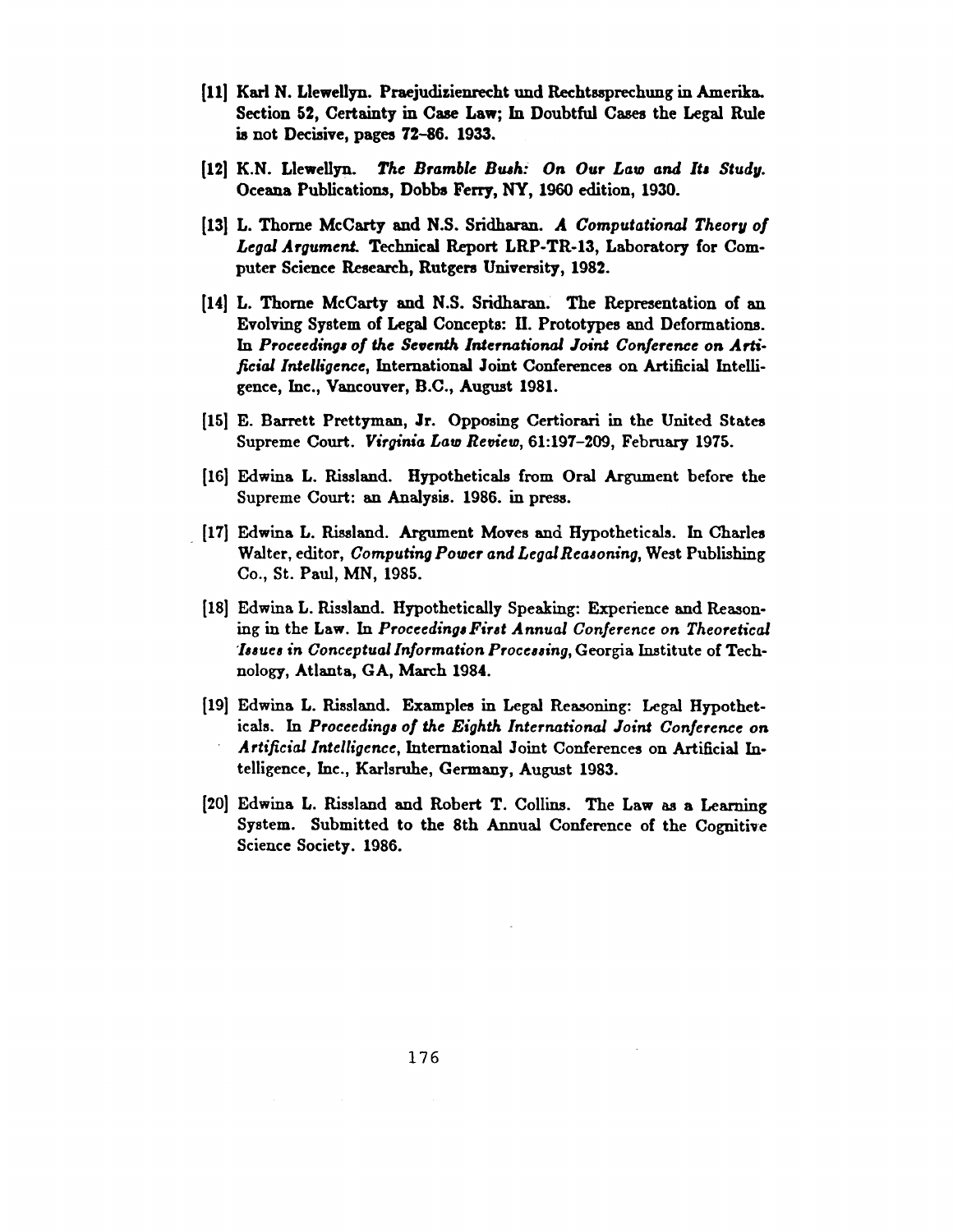- [11] Karl N. Llewellyn. Praejudizienrecht und Rechtssprechung in Amerika. Section 52, Certainty in Case Law; In Doubtful Cases the Legal Rule is not Decisive, pages 72-86. 1933.
- **1121 K.N.** LleweUyn. *The Bramble Bgsh: On* Our *Law and ltl Study.*  Oceana Publications, Dobbs Ferry, NY, 1960 edition, 1930.
- **[13]**  L. Thorne McCarty and N.S. Sridharan. *A Computational Theory of Legal Argument.* Technical Report LRP-TR-13, Laboratory for Computer Science Research, Rutgers University, 1982.
- **[141**  L. Thorne McCarty and N.S. Sridharan. The Representation of an Evolving System of Legal Concepts: H. Prototypes and Deformations. In Proceedings of the Seventh International Joint Conference on Arti*ficial Intelligence,* International Joint Conferences on Artificial Intelligence, Inc., Vancouver, B.C., August 1981.
- [151 E. Barrett Prettyman, Jr. Opposing Certiorari in the United States Supreme Court. *Virginia Law Review*, 61:197-209, February 1975.
- [16] Edwina L. Rissland. Hypotheticals from Oral Argument before the Supreme Court: an Analysis. 1986. in press.
- **[17]**  Edwina L. Rissland. Argument Moves and Hypotheticals. In Charles Walter, editor, *Computing Power and Legal Reasoning*, West Publishing Co., St. Paul, MN, 1985.
- **[181**  Edwina L. Rissland. Hypothetically Speaking: Experience and Reasoning in the Law. In *Proeeedings First Annual Conference on Theoretical "Issues in Conceptual Information Processing,* Georgia Institute of Technology, Atlanta, CA, March 1984.
- **Ilg]**  Edwina L. Rissland. Examples in Legal Reasoning: Legal Hypotheticals. In *Proceedings of the Eighth International Joint Conference on Artificial Intelligence,* International Joint Conferences on Artificial Intelligence, Inc., Karlsruhe, Germany, August 1983.
- [20] Edwina L. Rissland and Robert T. Collins. The Law as a Learning System. Submitted to the 8th Annual Conference of the Cognitive Science Society. 1986.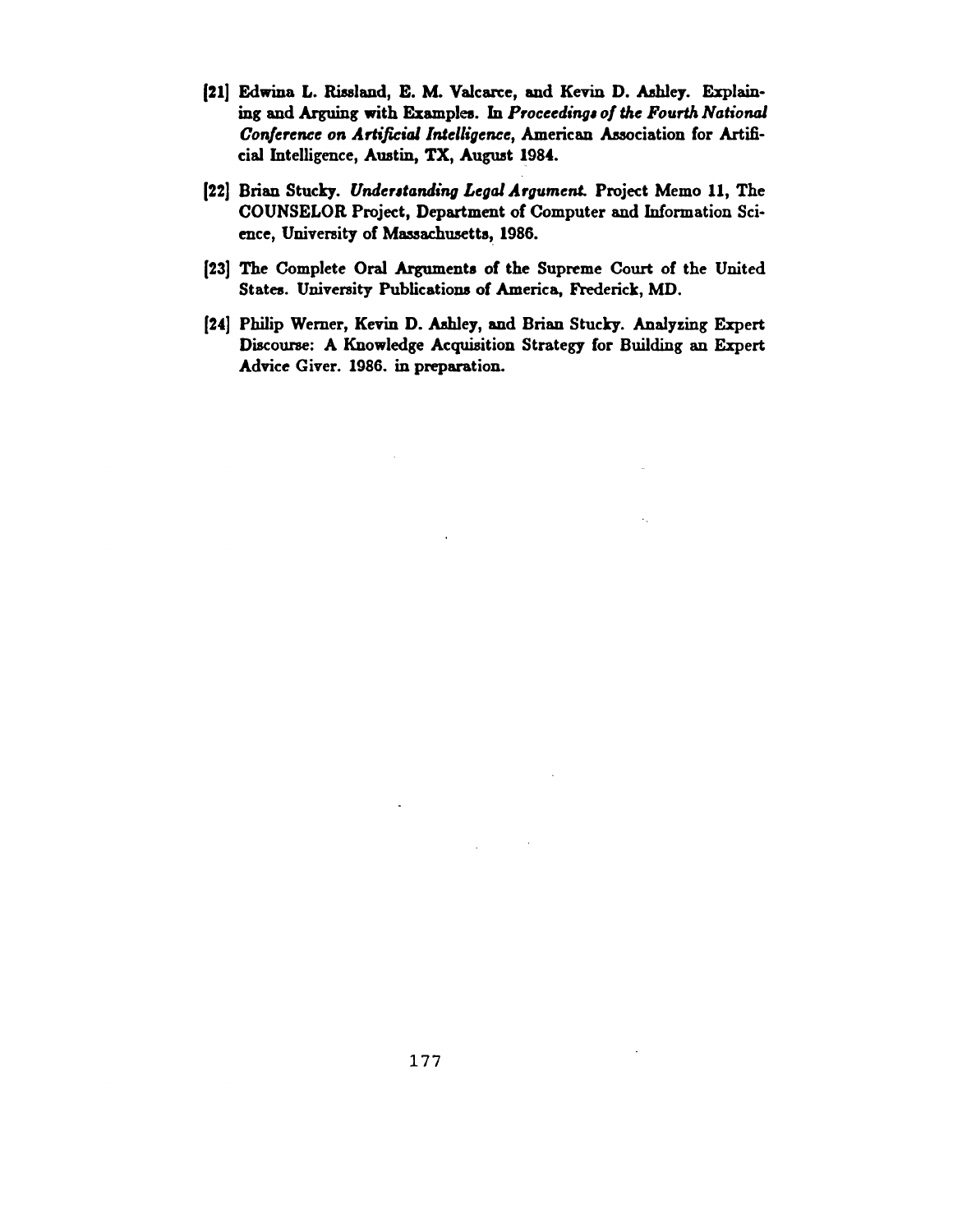- [21] Edwina L. Rissland, E. M. Valcarce, and Kevin D. Ashley. Explaining and Arguing with Examples. In *Proceedings of the Fourth National Conference on Artificial Intelligence, American Association for Artifi*cial Intelligence, Austin, TX, August 1984.
- **[221**  Brian Sttucky. *Underatandlng Legal ArgumenL* Project Memo 11, The COUNSELOR Project, Department of Computer and Information Science, University of Massachusetts, 1986.
- [23] The Complete Oral Arguments of the Supreme Court of the United States. University Publicatious of America, Frederick, MD.
- **[24]** Philip Wemer, Kevin D. Ashley, and Brian Sttucky. Analyzing Expert Discourse: A Knowledge Acquisition Strategy for Building an Expert Advice Giver. 1986. in preparation.

 $\ddot{\phantom{0}}$